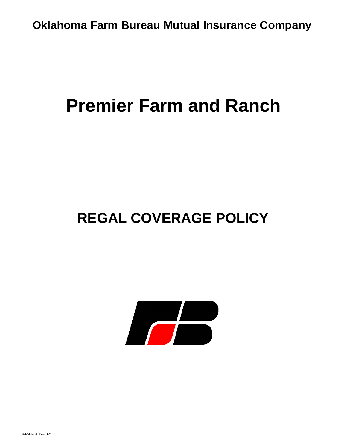# **Premier Farm and Ranch**

# **REGAL COVERAGE POLICY**

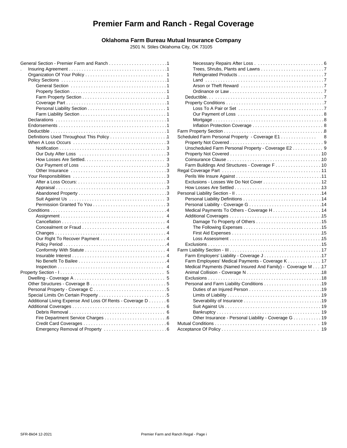## **Premier Farm and Ranch - Regal Coverage**

#### **Oklahoma Farm Bureau Mutual Insurance Company**

2501 N. Stiles Oklahoma City, OK 73105

|                                                            | Dε      |
|------------------------------------------------------------|---------|
|                                                            | Pr      |
|                                                            |         |
|                                                            |         |
|                                                            |         |
|                                                            |         |
|                                                            | Farm    |
|                                                            | Sched   |
|                                                            | Pr      |
|                                                            | Ur      |
|                                                            | Pr      |
|                                                            | Co      |
|                                                            | Fa      |
|                                                            | Regal   |
|                                                            | Pe      |
|                                                            | Ex      |
|                                                            | Ho      |
|                                                            | Persor  |
|                                                            | Pe      |
|                                                            | Pe      |
|                                                            | M       |
|                                                            | Ac      |
|                                                            |         |
|                                                            |         |
|                                                            |         |
|                                                            |         |
|                                                            | Ex      |
|                                                            | Farm I  |
|                                                            | Fa      |
|                                                            | Fa      |
|                                                            |         |
| 4                                                          | M<br>Ar |
|                                                            |         |
|                                                            | Ex      |
|                                                            | Pe      |
|                                                            |         |
|                                                            |         |
| Additional Living Expense And Loss Of Rents - Coverage D 6 |         |
|                                                            |         |
|                                                            |         |
|                                                            |         |
|                                                            | Mutua   |
|                                                            | Accep   |

| 1 |                                                             |   |
|---|-------------------------------------------------------------|---|
| 1 |                                                             |   |
| 1 |                                                             |   |
| 1 |                                                             |   |
| 1 |                                                             |   |
| 1 |                                                             |   |
| 1 |                                                             |   |
| 1 |                                                             |   |
| 1 |                                                             |   |
| 1 |                                                             |   |
| 1 |                                                             |   |
| 1 | Inflation Protection Coverage  8                            |   |
| 1 |                                                             |   |
| 1 | Scheduled Farm Personal Property - Coverage E1              | 8 |
| 3 |                                                             |   |
| 3 | Unscheduled Farm Personal Property - Coverage E2 9          |   |
| 3 |                                                             |   |
| 3 |                                                             |   |
| 3 |                                                             |   |
| 3 |                                                             |   |
| 3 |                                                             |   |
| 3 |                                                             |   |
| 3 |                                                             |   |
| 3 |                                                             |   |
| 3 |                                                             |   |
| 3 |                                                             |   |
| 4 |                                                             |   |
| 4 |                                                             |   |
| 4 |                                                             |   |
| 4 |                                                             |   |
| 4 |                                                             |   |
| 4 |                                                             |   |
| 4 |                                                             |   |
| 4 |                                                             |   |
| 4 |                                                             |   |
| 4 | Farm Employees' Medical Payments - Coverage K 17            |   |
| 4 | Medical Payments (Named Insured And Family) - Coverage M 17 |   |
| 5 |                                                             |   |
| 5 |                                                             |   |
| 5 |                                                             |   |
| 5 |                                                             |   |
|   |                                                             |   |
| 5 |                                                             |   |
| 6 |                                                             |   |
| 6 |                                                             |   |
| 6 |                                                             |   |
| 6 | Other Insurance - Personal Liability - Coverage G 19        |   |
| 6 |                                                             |   |
| 6 |                                                             |   |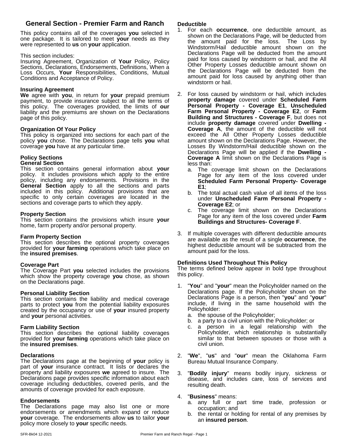### **General Section - Premier Farm and Ranch**

This policy contains all of the coverages **you** selected in one package. It is tailored to meet **your** needs as they were represented to **us** on **your** application.

#### This section includes:

Insuring Agreement, Organization of **Your** Policy, Policy Sections, Declarations, Endorsements, Definitions, When a Loss Occurs, **Your** Responsibilities, Conditions, Mutual Conditions and Acceptance of Policy.

#### **Insuring Agreement**

**We** agree with **you**, in return for **your** prepaid premium payment, to provide insurance subject to all the terms of this policy. The coverages provided, the limits of **our** liability and the premiums are shown on the Declarations page of this policy.

#### **Organization Of Your Policy**

This policy is organized into sections for each part of the policy **you** chose. The Declarations page tells **you** what coverage **you** have at any particular time.

## **Policy Sections**

#### **General Section**

This section contains general information about **your** policy. It includes provisions which apply to the entire policy, including any endorsements. Provisions in the **General Section** apply to all the sections and parts included in this policy. Additional provisions that are  $P_{\rm b}$  The specific to only certain coverages are located in the  $\frac{m}{\text{under}}$ sections and coverage parts to which they apply.

#### **Property Section**

This section contains the provisions which insure **your** home, farm property and/or personal property.

#### **Farm Property Section**

This section describes the optional property coverages provided for **your farming** operations which take place on the **insured premises**.

#### **Coverage Part**

The Coverage Part **you** selected includes the provisions which show the property coverage **you** chose, as shown on the Declarations page.

#### **Personal Liability Section**

This section contains the liability and medical coverage parts to protect you from the potential liability exposures created by the occupancy or use of **your** insured property and **your** personal activities.

#### **Farm Liability Section**

This section describes the optional liability coverages provided for **your farming** operations which take place on the **insured premises**.

#### **Declarations**

The Declarations page at the beginning of **your** policy is part of **your** insurance contract. It lists or declares the property and liability exposures **we** agreed to insure. The Declarations page provides specific information about each coverage including deductibles, covered perils, and the amounts of coverage provided for each exposure.

#### **Endorsements**

The Declarations page may also list one or more endorsements or amendments which expand or reduce **your** coverage. The endorsements allow **us** to tailor **your** policy more closely to **your** specific needs.

#### **Deductible**

- 1. For each **occurrence**, one deductible amount, as shown on the Declarations Page, will be deducted from the amount paid for the loss. The Loss by Windstorm/Hail deductible amount shown on the Declarations Page will be deducted from the amount paid for loss caused by windstorm or hail, and the All Other Property Losses deductible amount shown on the Declarations Page will be deducted from the amount paid for loss caused by anything other than windstorm or hail.
- 2. For loss caused by windstorm or hail, which includes **property damage** covered under **Scheduled Farm Personal Property - Coverage E1**, **Unscheduled Farm Personal Property - Coverage E2**, or **Farm Building and Structures - Coverage F**, but does not include **property damage** covered under **Dwelling - Coverage A**, the amount of the deductible will not exceed the All Other Property Losses deductible amount shown on the Declarations Page. However, the Losses By Windstorm/Hail deductible shown on the Declarations Page will be applied if the **Dwelling - Coverage A** limit shown on the Declarations Page is less than:
	- a. The coverage limit shown on the Declarations Page for any item of the loss covered under **Scheduled Farm Personal Property- Coverage E1**;
	- b. The total actual cash value of all items of the loss under **Unscheduled Farm Personal Property - Coverage E2**; or
	- The coverage limit shown on the Declarations Page for any item of the loss covered under**Farm Buildings and Structures- Coverage F**.
- 3. If multiple coverages with different deductible amounts are available as the result of a single **occurrence**, the highest deductible amount will be subtracted from the amount paid for the loss.

#### **Definitions Used Throughout This Policy**

The terms defined below appear in bold type throughout this policy.

- 1. "**You**" and "**your**" mean the Policyholder named on the Declarations page. If the Policyholder shown on the Declarations Page is a person, then "**you**" and "**your**" include, if living in the same household with the Policyholder:
	- a. the spouse of the Policyholder;
	- b. a party to a civil union with the Policyholder; or
	- a person in a legal relationship with the Policyholder, which relationship is substantially similar to that between spouses or those with a civil union.
- 2. "**We**", "**us**" and "**our**" mean the Oklahoma Farm Bureau Mutual Insurance Company.
- 3. "**Bodily injury**" means bodily injury, sickness or disease, and includes care, loss of services and resulting death.

#### 4. "**Business**" means:

- a. any full or part time trade, profession or occupation; and
- b. the rental or holding for rental of any premises by an **insured person**.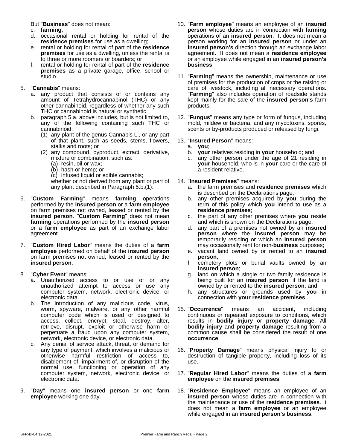But "**Business**" does not mean:

- c. **farming**;
- d. occasional rental or holding for rental of the **residence premises** for use as a dwelling;
- e. rental or holding for rental of part of the **residence premises** for use as a dwelling, unless the rental is to three or more roomers or boarders; or
- f. rental or holding for rental of part of the **residence premises** as a private garage, office, school or studio.

#### 5. "**Cannabis**" means:

- a. any product that consists of or contains any amount of Tetrahydrocannabinol (THC) or any other cannabinoid, regardless of whether any such THC or cannabinoid is natural or synthetic.
- b. paragraph 5.a. above includes, but is not limited to, any of the following containing such THC or cannabinoid:
	- (1) any plant of the genus Cannabis L., or any part of that plant, such as seeds, stems, flowers, stalks and roots; or
	- (2) any compound, byproduct, extract, derivative, mixture or combination, such as:
		- (a) resin, oil or wax;
		- (b) hash or hemp; or
		- (c) infused liquid or edible cannabis;

whether or not derived from any plant or part of any plant described in Paragraph 5.b.(1).

- 6. "**Custom Farming**" means **farming** operations performed by the **insured person** or a **farm employee** on farm premises not owned, leased or rented by the **insured person. "Custom Farming"** does not mean c. the p **farming** operations performed by the **insured person** or a **farm employee** as part of an exchange labor agreement.
- 7. "**Custom Hired Labor**" means the duties of a **farm employee** performed on behalf of the **insured person** on farm premises not owned, leased or rented by the **insured person**.
- 8. "**Cyber Event**" means:
	- a. Unauthorized access to or use of or any unauthorized attempt to access or use any computer system, network, electronic device, or electronic data.
	- b. The introduction of any malicious code, virus, worm, spyware, malware, or any other harmful computer code which is used or designed to access, collect, encrypt, steal, destroy, alter, retrieve, disrupt, exploit or otherwise harm or perpetuate a fraud upon any computer system, network, electronic device, or electronic data.
	- c. Any denial of service attack, threat, or demand for any type of payment, which involves a malicious or otherwise harmful restriction of access to, disablement of, impairment of, or disruption of the normal use, functioning or operation of any computer system, network, electronic device, or electronic data.
- 9. "**Day**" means one **insured person** or one **farm employee** working one day.
- 10. "**Farm employee**" means an employee of an **insured person** whose duties are in connection with **farming** operations of an **insured person**. It does not mean a person working for an **insured person** or under an **insured person's** direction through an exchange labor agreement. It does not mean a **residence employee** or an employee while engaged in an **insured person's business**.
- 11. "**Farming**" means the ownership, maintenance or use of premises for the production of crops or the raising or care of livestock, including all necessary operations. "**Farming**" also includes operation of roadside stands kept mainly for the sale of the **insured person's** farm products.
- 12. "**Fungus**" means any type or form of fungus, including mold, mildew or bacteria, and any mycotoxins, spores, scents or by-products produced or released by fungi.

#### 13. "**Insured Person**" means:

- a. **you**;
- **your** relatives residing in **your** household; and
- c. any other person under the age of 21 residing in **your** household, who is in **your** care or the care of a resident relative.

#### 14. "**Insured Premises**" means:

- a. the farm premisesand **residence premises** which is described on the Declarations page;
- b. any other premises acquired by **you** during the term of this policy which **you** intend to use as a **residence premises**;
- c. the part of any other premises where **you** reside and which is shown on the Declarations page;
- d. any part of a premises not owned by an **insured person** where the **insured person** may be temporarily residing or which an **insured person** may occasionally rent for non-**business** purposes;
- e. vacant land owned by or rented to an **insured person**;
- f. cemetery plots or burial vaults owned by an **insured person**;
- g. land on which a single or two family residence is being built for an **insured person**, if the land is owned by or rented to the **insured person**; and
- h. any structures or grounds used by **you** in connection with **your residence premises**.
- 15. "**Occurrence**" means an accident, including continuous or repeated exposure to conditions, which results in **bodily injury** or **property damage**. All **bodily injury** and **property damage** resulting from a common cause shall be considered the result of one **occurrence**.
- 16. "**Property Damage**" means physical injury to or destruction of tangible property, including loss of its use.
- 17. "**Regular Hired Labor**" means the duties of a **farm employee** on the i**nsured premises**.
- 18. "**Residence Employee**" means an employee of an **insured person** whose duties are in connection with the maintenance or use of the **residence premises**. It does not mean a **farm employee** or an employee while engaged in an **insured person's business**.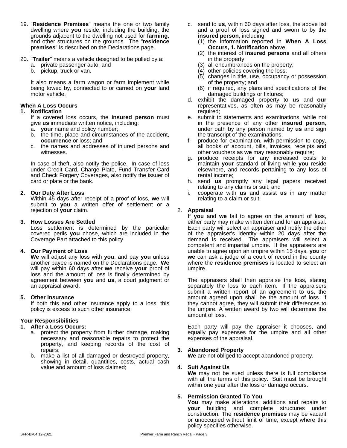- 19. "**Residence Premises**" means the one or two family dwelling where **you** reside, including the building, the grounds adjacent to the dwelling not used for **farming**, and other structures on the grounds. The "**residence premises**" is described on the Declarations page.
- 20. "**Trailer**" means a vehicle designed to be pulled by a:
	- a. private passenger auto; and
	- b. pickup, truck or van.

It also means a farm wagon or farm implement while being towed by, connected to or carried on **your** land motor vehicle.

#### **When A Loss Occurs**

#### **1. Notification**

If a covered loss occurs, the **insured person** must give **us** immediate written notice, including:

- a. **your** name and policy number;
- b. the time, place and circumstances of the accident, **occurrence** or loss; and
- c. the names and addresses of injured persons and witnesses.

In case of theft, also notify the police. In case of loss under Credit Card, Charge Plate, Fund Transfer Card and Check Forgery Coverages, also notify the issuer of card or plate or the bank.

#### **2. Our Duty After Loss**

Within 45 days after receipt of a proof of loss, **we** will submit to **you** a written offer of settlement or a rejection of **your** claim.

#### **3. How Losses Are Settled**

Loss settlement is determined by the particular covered perils **you** chose, which are included in the Coverage Part attached to this policy.

#### **4. Our Payment of Loss**

**We** will adjust any loss with **you**, and pay **you** unless another payee is named on the Declarations page.**We** will pay within 60 days after **we** receive **your** proof of loss and the amount of loss is finally determined by agreement between **you** and **us**, a court judgment or an appraisal award.

#### **5. Other Insurance**

If both this and other insurance apply to a loss, this policy is excess to such other insurance.

#### **Your Responsibilities**

#### **1. After a Loss Occurs:**

- a. protect the property from further damage, making necessary and reasonable repairs to protect the property, and keeping records of the cost of repairs;
- b. make a list of all damaged or destroyed property, showing in detail, quantities, costs, actual cash value and amount of loss claimed;
- c. send to **us**, within 60 days after loss, the above list and a proof of loss signed and sworn to by the **insured person**, including:
	- (1) the information reported in **When A Loss Occurs, 1. Notification** above;
	- (2) the interest of **insured persons** and all others in the property;
	- (3) all encumbrances on the property;
	- (4) other policies covering the loss;
	- (5) changes in title, use, occupancy or possession of the property; and
	- (6) if required, any plans and specifications of the damaged buildings or fixtures;
- d. exhibit the damaged property to **us** and **our** representatives, as often as may be reasonably required;
- e. submit to statements and examinations, while not in the presence of any other **insured person**, under oath by any person named by **us** and sign the transcript of the examinations;
- f. produce for examination, with permission to copy, all books of account, bills, invoices, receipts and other vouchers as **we** may reasonably require;
- g. produce receipts for any increased costs to maintain **your** standard of living while **you** reside elsewhere, and records pertaining to any loss of rental income;
- h. send **us** promptly any legal papers received relating to any claims or suit; and
- i. cooperate with **us** and assist **us** in any matter relating to a claim or suit.

#### 2. **Appraisal**

If **you** and **we** fail to agree on the amount of loss, either party may make written demand for an appraisal. Each party will select an appraiser and notify the other of the appraiser's identity within 20 days after the demand is received. The appraisers will select a competent and impartial umpire. If the appraisers are unable to agree upon an umpire within 15 days, **you** or **we** can ask a judge of a court of record in the county where the **residence premises** is located to select an umpire.

The appraisers shall then appraise the loss, stating separately the loss to each item. If the appraisers submit a written report of an agreement to **us**, the amount agreed upon shall be the amount of loss. If they cannot agree, they will submit their differences to the umpire. A written award by two will determine the amount of loss.

Each party will pay the appraiser it chooses, and equally pay expenses for the umpire and all other expenses of the appraisal.

#### **3. Abandoned Property**

**We** are not obliged to accept abandoned property.

#### **4. Suit Against Us**

**We** may not be sued unless there is full compliance with all the terms of this policy. Suit must be brought within one year after the loss or damage occurs.

#### **5. Permission Granted To You**

**You** may make alterations, additions and repairs to **your** building and complete structures under construction. The **residence premises** may be vacant or unoccupied without limit of time, except where this policy specifies otherwise.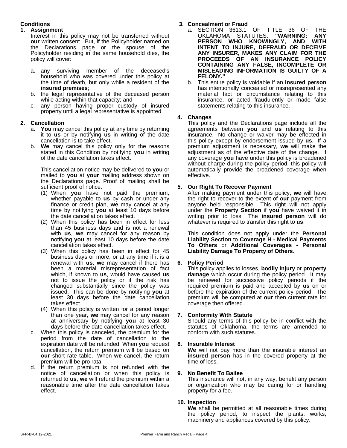#### **Conditions**

#### **1. Assignment**

Interest in this policy may not be transferred without **our** written consent. But, if the Policyholder named on the Declarations page or the spouse of the Policyholder residing in the same household dies, the policy will cover:

- a. any surviving member of the deceased's household who was covered under this policy at the time of death, but only while a resident of the **insured premises**;
- b. the legal representative of the deceased person while acting within that capacity; and
- c. any person having proper custody of insured property until a legal representative is appointed.

#### **2. Cancellation**

- a. **You** may cancel this policy at any time by returning it to **us** or by notifying **us** in writing of the date cancellation is to take effect.
- b. **We** may cancel this policy only for the reasons stated in this Condition by notifying **you** in writing of the date cancellation takes effect.

This cancellation notice may be delivered to **you** or mailed to **you** at **your** mailing address shown on the Declarations page. Proof of mailing shall be sufficient proof of notice.

- (1) When **you** have not paid the premium, whether payable to **us** by cash or under any finance or credit plan, **we** may cancel at any time by notifying **you** at least 10 days before the date cancellation takes effect.
- (2) When this policy has been in effect for less than 45 business days and is not a renewal with **us**, we may cancel for any reason by notifying **you** at least 10 days before the date cancellation takes effect.
- (3) When this policy has been in effect for 45 business days or more, or at any time if it is a renewal with **us**, **we** may cancel if there has been a material misrepresentation of fact which, if known to **us**, would have caused **us** not to issue the policy or if the risk has changed substantially since the policy was issued. This can be done by notifying **you** at least 30 days before the date cancellation takes effect.
- (4) When this policy is written for a period longer than one year, **we** may cancel for any reason at anniversary by notifying **you** at least 30 days before the date cancellation takes effect.
- c. When this policy is canceled, the premium for the period from the date of cancellation to the expiration date will be refunded. When **you** request cancellation, the return premium will be based on **our** short rate table. When **we** cancel, the return premium will be pro rata.
- d. If the return premium is not refunded with the notice of cancellation or when this policy is 9. notice of cancellation or when this policy is returned to **us**, **we** will refund the premium within a reasonable time after the date cancellation takes effect.

#### **3. Concealment or Fraud**

- a. SECTION 3613.1 OF TITLE 36 OF THE<br>OKLAHOMA STATUTES: "WARNING: ANY OKLAHOMA STATUTES: **"WARNING: ANY PERSON WHO KNOWINGLY, AND WITH INTENT TO INJURE, DEFRAUD OR DECEIVE ANY INSURER, MAKES ANY CLAIM FOR THE PROCEEDS OF AN INSURANCE POLICY CONTAINING ANY FALSE, INCOMPLETE OR MISLEADING INFORMATION IS GUILTY OF A FELONY."**
- b. This entire policy is voidable if an **insured person** has intentionally concealed or misrepresented any material fact or circumstance relating to this insurance, or acted fraudulently or made false statements relating to this insurance.

#### **4. Changes**

This policy and the Declarations page include all the agreements between **you** and **us** relating to this insurance. No change or waiver may be effected in this policy except by endorsement issued by **us**. If a premium adjustment is necessary, **we** will make the adjustment as of the effective date of the change. If any coverage **you** have under this policy is broadened without charge during the policy period, this policy will automatically provide the broadened coverage when effective.

#### **5. Our Right To Recover Payment**

After making payment under this policy, **we** will have the right to recover to the extent of **our** payment from anyone held responsible. This right will not apply under the **Property Section** if **you** have waived it in writing prior to loss. The **insured person** will do whatever is required to transfer this right to **us**.

This condition does not apply under the **Personal Liability Section** to **Coverage H - Medical Payments To Others** or **Additional Coverages - Personal Liability Damage To Property of Others**.

#### **6. Policy Period**

This policy applies to losses, **bodily injury** or **property damage** which occur during the policy period. It may be renewed for successive policy periods if the required premium is paid and accepted by us on or before the expiration of the current policy period. The premium will be computed at **our** then current rate for coverage then offered.

#### **7. Conformity With Statute**

Should any terms of this policy be in conflict with the statutes of Oklahoma, the terms are amended to conform with such statutes.

#### **8. Insurable Interest**

**We** will not pay more than the insurable interest an **insured person** has in the covered property at the time of loss.

#### **9. No Benefit To Bailee**

This insurance will not, in any way, benefit any person or organization who may be caring for or handling property for a fee.

#### **10. Inspection**

**We** shall be permitted at all reasonable times during the policy period, to inspect the plants, works, machinery and appliances covered by this policy.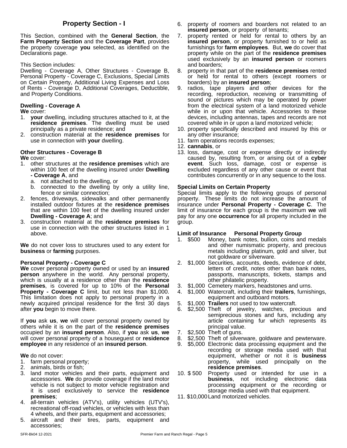This Section, combined with the **General Section**, the **Farm Property Section** and the **Coverage Part**, provides the property coverage **you** selected, as identified on the Declarations page.

This Section includes:

Dwelling - Coverage A, Other Structures - Coverage B, Personal Property - Coverage C, Exclusions, Special Limits on Certain Property, Additional Living Expenses and Loss of Rents - Coverage D, Additional Coverages, Deductible, and Property Conditions.

#### **Dwelling - Coverage A**

**We** cover:

- 1. **your** dwelling, including structures attached to it, at the **residence premises**. The dwelling must be used principally as a private residence; and
- 2. construction material at the **residence premises** for use in connection with **your** dwelling.

#### **Other Structures - Coverage B**

**We** cover:

- 1. other structures at the **residence premises** which are within 100 feet of the dwelling insured under **Dwelling - Coverage A**, and
	- a. not attached to the dwelling, or
	- b. connected to the dwelling by only a utility line, fence or similar connection;
- 2. fences, driveways, sidewalks and other permanently installed outdoor fixtures at the **residence premises** that are within 100 feet of the dwelling insured under **Dwelling - Coverage A**; and
- 3. construction material at the **residence premises** for use in connection with the other structures listed in 1 above.

**We** do not cover loss to structures used to any extent for **business** or **farming** purposes.

#### **Personal Property - Coverage C**

**We** cover personal property owned or used by an **insured person** anywhere in the world. Any personal property, which is usually at a residence other than the **residence premises**, is covered for up to 10% of the **Personal Property - Coverage C** limit, but not less than \$1,000. This limitation does not apply to personal property in a newly acquired principal residence for the first 30 days after **you** begin to move there.

If **you** ask **us**, **we** will cover personal property owned by others while it is on the part of the **residence premises** occupied by an **insured person**. Also, if **you** ask **us**, **we** will cover personal property of a houseguest or **residence employee** in any residence of an **insured person**.

#### **We** do not cover:

- 1. farm personal property;
- 2. animals, birds or fish;
- 3. land motor vehicles and their parts, equipment and accessories. **We** do provide coverage if the land motor vehicle is not subject to motor vehicle registration and it is used exclusively to service the **residence premises**;
- 4. all-terrain vehicles (ATV's), utility vehicles (UTV's), recreational off-road vehicles, or vehicles with less than 4 wheels, and their parts, equipment and accessories;
- 5. aircraft and their tires, parts, equipment and accessories;
- **Property Section I** 6. property of roomers and boarders not related to an **insured person**, or property of tenants;
	- property rented or held for rental to others by an **insured person**, or property furnished to or held as furnishings for **farm employees**. But, **we** do cover that property while on the part of the **residence premises** used exclusively by an **insured person** or roomers and boarders;
	- 8. property in that part of the **residence premises** rented or held for rental to others (except roomers or boarders) by an **insured person**;
	- 9. radios, tape players and other devices for the recording, reproduction, receiving or transmitting of sound or pictures which may be operated by power from the electrical system of a land motorized vehicle while in or upon that vehicle. Accessories to these devices, including antennas, tapes and records are not covered while in or upon a land motorized vehicle;
	- 10. property specifically described and insured by this or any other insurance;
	- 11. farm operations records expenses;
	- 12. **cannabis**, or
	- 13. loss, damage, cost or expense directly or indirectly caused by, resulting from, or arising out of a **cyber event**. Such loss, damage, cost or expense is excluded regardless of any other cause or event that contributes concurrently or in any sequence to the loss.

#### **Special Limits on Certain Property**

Special limits apply to the following groups of personal property. These limits do not increase the amount of insurance under **Personal Property - Coverage C**. The limit of insurance for each group is the maximum **we** will pay for any one **occurrence** for all property included in the group.

#### **Limit of Insurance Personal Property Group**

- 1. \$500 Money, bank notes, bullion, coins and medals and other numismatic property, and precious metals including platinum, gold and silver, but not goldware or silverware.
- 2. \$1,000 Securities, accounts, deeds, evidence of debt, letters of credit, notes other than bank notes, passports, manuscripts, tickets, stamps and other philatelic property.
- 3. \$1,000 Cemetery markers, headstones and urns.
- 4. \$1,000 Watercraft, including their **trailers**, furnishings, equipment and outboard motors.
- 5. \$1,000 **Trailers** not used to tow watercraft.
- 6. \$2,500 Theft of jewelry, watches, precious and semiprecious stones and furs, including any article containing fur which represents its principal value.
- 7. \$2,500 Theft of guns.
- 8. \$2,500 Theft of silverware, goldware and pewterware.
- 9. \$5,000 Electronic data processing equipment and the recording or storage media used with that equipment, whether or not it is **business** property, while used principally on the **residence premises**.
- Property used or intended for use in a **business**, not including electronic data processing equipment or the recording or storage media used with that equipment.
- 11. \$10,000Land motorized vehicles.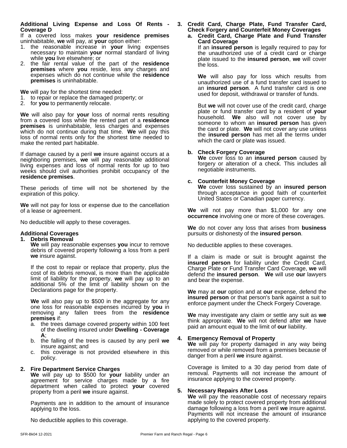#### **Additional Living Expense and Loss Of Rents - Coverage D**

If a covered loss makes **your residence premises** uninhabitable, **we** will pay, at **your** option either:

- 1. the reasonable increase in **your** living expenses necessary to maintain **your** normal standard of living while **you** live elsewhere; or
- 2. the fair rental value of the part of the **residence premises** where **you** reside, less any charges and expenses which do not continue while the **residence premises** is uninhabitable.

**We** will pay for the shortest time needed:

- 1. to repair or replace the damaged property; or
- 2. for **you** to permanently relocate.

**We** will also pay for **your** loss of normal rents resulting from a covered loss while the rented part of a **residence premises** is uninhabitable, less charges and expenses which do not continue during that time. **We** will pay this loss of normal rents only for the shortest time needed to make the rented part habitable.

If damage caused by a peril we insure against occurs at a neighboring premises, **we** will pay reasonable additional living expenses and loss of normal rents for up to two weeks should civil authorities prohibit occupancy of the **residence premises**.

These periods of time will not be shortened by the expiration of this policy.

**We** will not pay for loss or expense due to the cancellation of a lease or agreement.

No deductible will apply to these coverages.

#### **Additional Coverages**

#### **1. Debris Removal**

**We** will pay reasonable expenses **you** incur to remove debris of covered property following a loss from a peril **we** insure against.

If the cost to repair or replace that property, plus the cost of its debris removal, is more than the applicable limit of liability for the property, **we** will pay up to an additional 5% of the limit of liability shown on the Declarations page for the property.

**We** will also pay up to \$500 in the aggregate for any one loss for reasonable expenses incurred by **you** in removing any fallen trees from the **residence premises** if:

- a. the trees damage covered property within 100 feet of the dwelling insured under**Dwelling - Coverage A**;
- b. the falling of the trees is caused by any peril **we** insure against; and
- c. this coverage is not provided elsewhere in this policy.

#### **2. Fire Department Service Charges**

**We** will pay up to \$500 for **your** liability under an agreement for service charges made by a fire department when called to protect **your** covered property from a peril **we** insure against.

Payments are in addition to the amount of insurance applying to the loss.

No deductible applies to this coverage.

#### **3.Credit Card, Charge Plate, Fund Transfer Card, Check Forgery and Counterfeit Money Coverages a. Credit Card, Charge Plate and Fund Transfer**

**Card Coverage** If an **insured person** is legally required to pay for the unauthorized use of a credit card or charge plate issued to the **insured person**, **we** will cover the loss.

**We** will also pay for loss which results from unauthorized use of a fund transfer card issued to an **insured person**. A fund transfer card is one used for deposit, withdrawal or transfer of funds.

But **we** will not cover use of the credit card, charge plate or fund transfer card by a resident of **your** household. **We** also will not cover use by someone to whom an **insured person** has given the card or plate. **We** will not cover any use unless the **insured person** has met all the terms under which the card or plate was issued.

#### **b. Check Forgery Coverage**

**We** coverloss to an **insured person** caused by forgery or alteration of a check. This includes all negotiable instruments.

#### **c. Counterfeit Money Coverage**

**We** coverloss sustained by an **insured person** through acceptance in good faith of counterfeit United States or Canadian paper currency.

**We** will not pay more than \$1,000 for any one **occurrence** involving one or more of these coverages.

**We** do not cover any loss that arises from **business** pursuits or dishonesty of the **insured person**.

No deductible applies to these coverages.

If a claim is made or suit is brought against the **insured person** for liability under the Credit Card, Charge Plate or Fund Transfer Card Coverage, **we** will defend the **insured person**. **We** will use **our** lawyers and bear the expense.

**We** may at **our** option and at **our** expense, defend the **insured person** or that person's bank against a suit to enforce payment under the Check Forgery Coverage.

**We** may investigate any claim or settle any suit as **we** think appropriate. **We** will not defend after **we** have paid an amount equal to the limit of **our** liability.

#### **4. Emergency Removal of Property**

**We** will pay for property damaged in any way being removed or while removed from a premises because of danger from a peril **we** insure against.

Coverage is limited to a 30 day period from date of removal. Payments will not increase the amount of insurance applying to the covered property.

#### **5. Necessary Repairs After Loss**

**We** will pay the reasonable cost of necessary repairs made solely to protect covered property from additional damage following a loss from a peril **we** insure against. Payments will not increase the amount of insurance applying to the covered property.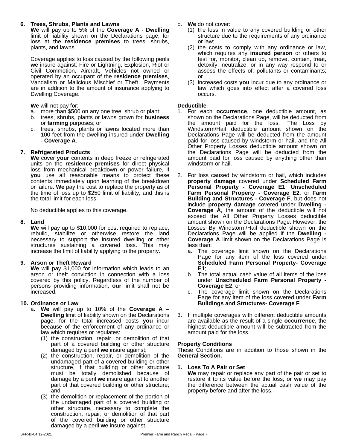#### **6. Trees, Shrubs, Plants and Lawns**

**We** will pay up to 5% of the **Coverage A - Dwelling** limit of liability shown on the Declarations page, for loss at the **residence premises** to trees, shrubs, plants, and lawns.

Coverage applies to loss caused by the following perils **we** insure against: Fire or Lightning, Explosion, Riot or Civil Commotion, Aircraft, Vehicles not owned or operated by an occupant of the **residence premises**, Vandalism or Malicious Mischief or Theft. Payments are in addition to the amount of insurance applying to Dwelling Coverage.

**We** will not pay for:

- a. more than \$500 on any one tree, shrub or plant;
- b. trees, shrubs, plants or lawns grown for **business** or **farming** purposes; or
- c. trees, shrubs, plants or lawns located more than 100 feet from the dwelling insured under**Dwelling - Coverage A**.

#### **7. Refrigerated Products**

**We** cover **your** contents in deep freeze or refrigerated units on the **residence premises** for direct physical loss from mechanical breakdown or power failure, if **you** use all reasonable means to protect these contents immediately upon learning of the breakdown or failure. **We** pay the cost to replace the property as of the time of loss up to \$250 limit of liability, and this is the total limit for each loss.

No deductible applies to this coverage.

#### **8. Land**

**We** will pay up to \$10,000 for cost required to replace, rebuild, stabilize or otherwise restore the land necessary to support the insured dwelling or other structures sustaining a covered loss. This may increase the limit of liability applying to the property.

#### **9. Arson or Theft Reward**

**We** will pay \$1,000 for information which leads to an arson or theft conviction in connection with a loss covered by this policy. Regardless of the number of persons providing information, **our** limit shall not be increased.

#### **10. Ordinance or Law**

- a. **We** will pay up to 10% of the **Coverage A – Dwelling** limit of liability shown on the Declarations page, for the total increased costs **you** incur because of the enforcement of any ordinance or law which requires or regulates:
	- (1) the construction, repair, or demolition of that part of a covered building or other structure damaged by a peril **we** insure against;
	- (2) the construction, repair, or demolition of the undamaged part of a covered building or other structure, if that building or other structure must be totally demolished because of damage by a peril we insure against to another part of that covered building or other structure; and
	- (3) the demolition or replacement of the portion of the undamaged part of a covered building or other structure, necessary to complete the construction, repair, or demolition of that part of the covered building or other structure damaged by a peril **we** insure against.
- b. **We** do not cover:
	- (1) the loss in value to any covered building or other structure due to the requirements of any ordinance or law;
	- (2) the costs to comply with any ordinance or law, which requires any **insured person** or others to test for, monitor, clean up, remove, contain, treat, detoxify, neutralize, or in any way respond to or assess the effects of, pollutants or contaminants; or
	- (3) increased costs **you** incur due to any ordinance or law which goes into effect after a covered loss occurs.

#### **Deductible**

- 1. For each **occurrence**, one deductible amount, as shown on the Declarations Page, will be deducted from the amount paid for the loss. The Loss by Windstorm/Hail deductible amount shown on the Declarations Page will be deducted from the amount paid for loss caused by windstorm or hail, and the All Other Property Losses deductible amount shown on the Declarations Page will be deducted from the amount paid for loss caused by anything other than windstorm or hail.
- 2. For loss caused by windstorm or hail, which includes **property damage** covered under **Scheduled Farm Personal Property - Coverage E1**, **Unscheduled Farm Personal Property - Coverage E2**, or **Farm Building and Structures - Coverage F**, but does not include **property damage** covered under **Dwelling - Coverage A**, the amount of the deductible will not exceed the All Other Property Losses deductible amount shown on the Declarations Page. However, the Losses By Windstorm/Hail deductible shown on the Declarations Page will be applied if the **Dwelling - Coverage A** limit shown on the Declarations Page is less than:
	- a. The coverage limit shown on the Declarations Page for any item of the loss covered under **Scheduled Farm Personal Property- Coverage E1**;
	- b. The total actual cash value of all items of the loss under **Unscheduled Farm Personal Property - Coverage E2**; or
	- c. The coverage limit shown on the Declarations Page for any item of the loss covered under**Farm Buildings and Structures- Coverage F**.
- 3. If multiple coverages with different deductible amounts are available as the result of a single **occurrence**, the highest deductible amount will be subtracted from the amount paid for the loss.

#### **Property Conditions**

These Conditions are in addition to those shown in the **General Section**.

#### **1. Loss To A Pair or Set**

**We** may repair or replace any part of the pair or set to restore it to its value before the loss, or **we** may pay the difference between the actual cash value of the property before and after the loss.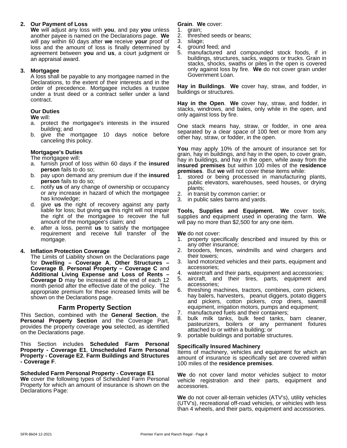#### **2. Our Payment of Loss**

**We** will adjust any loss with **you**, and pay **you** unless another payee is named on the Declarations page.**We** will pay within 60 days after **we** receive **your** proof of 3.<br>loss and the amount of loss is finally determined by 4. loss and the amount of loss is finally determined by  $4$ .<br>agreement between **you** and **us** a court judgment or  $5$ . agreement between **you** and **us**, a court judgment or an appraisal award.

#### **3. Mortgagee**

A loss shall be payable to any mortgagee named in the Declarations, to the extent of their interests and in the order of precedence. Mortgagee includes a trustee under a trust deed or a contract seller under a land contract.

#### **Our Duties**

**We** will:

- a. protect the mortgagee's interests in the insured building; and
- b. give the mortgagee 10 days notice before canceling this policy.

#### **Mortgagee's Duties**

The mortgagee will:

- a. furnish proof of loss within 60 days if the **insured person** fails to do so;
- b. pay upon demand any premium due if the **insured person** fails to do so;
- c. notify **us** of any change of ownership or occupancy or any increase in hazard of which the mortgagee 2. has knowledge;
- d. give **us** the right of recovery against any party liable for loss; but giving **us** this right will not impair the right of the mortgagee to recover the full amount of the mortgagee's claim; and
- e. after a loss, permit **us** to satisfy the mortgagee requirement and receive full transfer of the mortgage.

#### **4. Inflation Protection Coverage**

The Limits of Liability shown on the Declarations page for **Dwelling – Coverage A**, **Other Structures – Coverage B**, **Personal Property – Coverage C** and **Additional Living Expense and Loss of Rents – Coverage D** may be increased at the end of each 12 month period after the effective date of the policy. The appropriate premium for these increased limits will be shown on the Declarations page.

#### **Farm Property Section**

This Section, combined with the **General Section**, the **Personal Property Section** and the Coverage Part, provides the property coverage **you** selected, as identified on the Declarations page.

This Section includes **Scheduled Farm Personal Property - Coverage E1**, **Unscheduled Farm Personal Property - Coverage E2**, **Farm Buildings and Structures - Coverage F**.

#### **Scheduled Farm Personal Property - Coverage E1**

**We** cover the following types of Scheduled Farm Personal Property for which an amount of insurance is shown on the Declarations Page:

**Grain**. **We** cover:

- grain;
- threshed seeds or beans;
- silage;
- ground feed; and
- 5. manufactured and compounded stock foods, if in buildings, structures, sacks, wagons or trucks. Grain in stacks, shocks, swaths or piles in the open is covered only against loss by fire. **We** do not cover grain under Government Loan.

**Hay in Buildings. We** cover hay, straw, and fodder, in buildings or structures.

Hay in the Open. We cover hay, straw, and fodder, in stacks, windrows, and bales, only while in the open, and only against loss by fire.

One stack means hay, straw, or fodder, in one area separated by a clear space of 100 feet or more from any other hay, straw, or fodder, in the open.

**You** may apply 10% of the amount of insurance set for grain, hay in buildings, and hay in the open, to cover grain, hay in buildings, and hay in the open, while away from the **insured premises** but within 100 miles of the **residence premises**. But **we** will not cover these items while:

- 1. stored or being processed in manufacturing plants, public elevators, warehouses, seed houses, or drying plants;
- 2. in transit by common carrier; or
- 3. in public sales barns and yards.

**Tools, Supplies and Equipment. We** cover tools, supplies and equipment used in operating the farm. **We** will pay no more than \$2,500 for any one item.

**We** do not cover:

- 1. property specifically described and insured by this or any other insurance;
- 2. brooders, fences, windmills and wind chargers and their towers;
- 3. land motorized vehicles and their parts, equipment and accessories;
- 4. watercraft and their parts, equipment and accessories;
- 5. aircraft, and their tires, parts, equipment and accessories;
- 6. threshing machines, tractors, combines, corn pickers, hay balers, harvesters, peanut diggers, potato diggers and pickers, cotton pickers, crop driers, sawmill equipment, irrigation motors, pumps and equipment;
- 7. manufactured fuels and their containers;
- 8. bulk milk tanks, bulk feed tanks, barn cleaner, pasteurizers, boilers or any permanent fixtures attached to or within a building; or
- 9. portable buildings and portable structures.

#### **Specifically Insured Machinery**

Items of machinery, vehicles and equipment for which an amount of insurance is specifically set are covered within 100 miles of the **residence premises**.

**We** do not cover land motor vehicles subject to motor vehicle registration and their parts, equipment and accessories.

**We** do not cover all-terrain vehicles (ATV's), utility vehicles (UTV's), recreational off-road vehicles, or vehicles with less than 4 wheels, and their parts, equipment and accessories.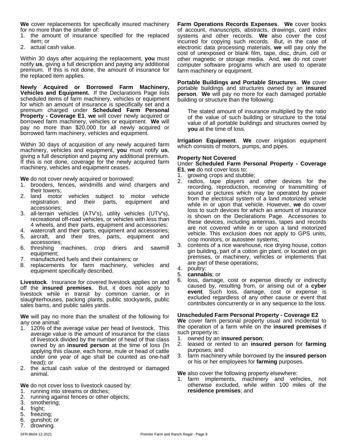**We** cover replacements for specifically insured machinery for no more than the smaller of:

- 1. the amount of insurance specified for the replaced item; or
- 2. actual cash value.

Within 30 days after acquiring the replacement, **you** must notify **us**, giving a full description and paying any additional premium. If this is not done, the amount of insurance for the replaced item applies.

**Newly Acquired or Borrowed Farm Machinery, Vehicles and Equipment.** If the Declarations Page lists scheduled items of farm machinery, vehicles or equipment for which an amount of insurance is specifically set and a premium charged under **Scheduled Farm Personal Property - Coverage E1**, **we** will cover newly acquired or borrowed farm machinery, vehicles or equipment. **We** will pay no more than \$20,000 for all newly acquired or borrowed farm machinery, vehicles and equipment.

Within 30 days of acquisition of any newly acquired farm machinery, vehicles and equipment, **you** must notify **us**, giving a full description and paying any additional premium. If this is not done, coverage for the newly acquired farm machinery, vehicles and equipment ceases.

**We** do not cover newly acquired or borrowed:

- 1. brooders, fences, windmills and wind chargers and their towers;
- 2. land motor vehicles subject to motor vehicle registration and their parts, equipment and accessories;
- 3. all-terrain vehicles (ATV's), utility vehicles (UTV's), recreational off-road vehicles, or vehicles with less than 4 wheels, and their parts, equipment and accessories;
- 4. watercraft and their parts, equipment and accessories;
- 5. aircraft, and their tires, parts, equipment and accessories;
- 6. threshing machines, crop driers and sawmill equipment;
- 7. manufactured fuels and their containers; or
- 8. replacements for farm machinery, vehicles and equipment specifically described.

**Livestock**. Insurance for covered livestock applies on and off the **insured premises**. But, it does not apply to livestock while in transit by common carrier, or in slaughterhouses, packing plants, public stockyards, public sales barns, and public sales yards.

**We** will pay no more than the smallest of the following for any one animal:

- 1. 120% of the average value per head of livestock. This average value is the amount of insurance for the class of livestock divided by the number of head of that class owned by an **insured person** at the time of loss (In applying this clause, each horse, mule or head of cattle under one year of age shall be counted as one-half head); or
- 2. the actual cash value of the destroyed or damaged animal.

**We** do not cover loss to livestock caused by:

- 1. running into streams or ditches;
- 2. running against fences or other objects;
- 3. smothering;
- 4. fright;
- 5. freezing;
- 6. gunshot; or
- 7. drowning.

**Farm Operations Records Expenses. We cover books** of account, manuscripts, abstracts, drawings, card index systems and other records. **We** also cover the cost incurred for copying such records. But, in the case of electronic data processing materials, **we** will pay only the cost of unexposed or blank film, tape, disc, drum, cell or other magnetic or storage media. And, **we** do not cover computer software programs which are used to operate farm machinery or equipment.

**Portable Buildings and Portable Structures**. **We** cover portable buildings and structures owned by an **insured person**. **We** will pay no more for each damaged portable building or structure than the following:

The stated amount of insurance multiplied by the ratio of the value of such building or structure to the total value of all portable buildings and structures owned by **you** at the time of loss.

**Irrigation Equipment**. **We** cover irrigation equipment which consists of motors, pumps, and pipes.

#### **Property Not Covered**

Under **Scheduled Farm Personal Property - Coverage E1**, **we** do not cover loss to:

- 1. growing crops and stubble;
- 2. radios, tape players and other devices for the recording, reproduction, receiving or transmitting of sound or pictures which may be operated by power from the electrical system of a land motorized vehicle while in or upon that vehicle. However, **we** do cover loss to such devices for which an amount of insurance is shown on the Declarations Page. Accessories to these devices, including antennas, tapes and records are not covered while in or upon a land motorized vehicle. This exclusion does not apply to GPS units, crop monitors, or autosteer systems;
- 3. contents of a rice warehouse, rice drying house, cotton gin building, part of a cotton gin plant, or located on gin premises, or machinery, vehicles or implements that are part of these operations;
- 4. poultry:
- 5. **cannabis**; or
- loss, damage, cost or expense directly or indirectly caused by, resulting from, or arising out of a **cyber event**. Such loss, damage, cost or expense is excluded regardless of any other cause or event that contributes concurrently or in any sequence to the loss.

#### **Unscheduled Farm Personal Property - Coverage E2**

We cover farm personal property usual and incidental to the operation of a farm while on the **insured premises** if such property is:

- 1. owned by an **insured person**;
- 2. leased or rented to an **insured person** for **farming** purposes; and
- 3. farm machinery while borrowed by the **insured person** or his or her employees for **farming** purposes.

**We** also cover the following property elsewhere:

1. farm implements, machinery and vehicles, not otherwise excluded, while within 100 miles of the **residence premises**; and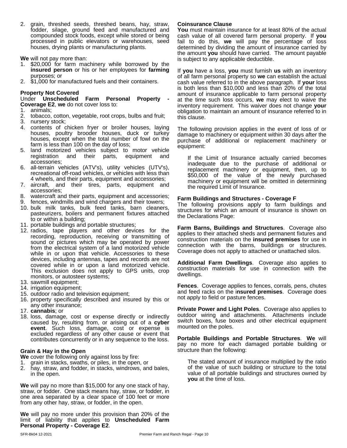2. grain, threshed seeds, threshed beans, hay, straw, fodder, silage, ground feed and manufactured and compounded stock foods, except while stored or being processed in public elevators or warehouses, seed houses, drying plants or manufacturing plants.

**We** will not pay more than:

- \$20,000 for farm machinery while borrowed by the **insured person** or his or her employees for **farming** purposes; or
- 2. \$1,000 for manufactured fuels and their containers.

**Property Not Covered**<br>Under Unscheduled Farm Personal Under **Unscheduled Farm Personal Property - Coverage E2**, **we** do not cover loss to:

1. animals;

- 2. tobacco, cotton, vegetable, root crops, bulbs and fruit;
- 3. nursery stock;
- 4. contents of chicken fryer or broiler houses, laying houses, poultry brooder houses, duck or turkey houses, except when the total number of fowl on the farm is less than 100 on the day of loss;
- 5. land motorized vehicles subject to motor vehicle registration and their parts, equipment and accessories;
- 6. all-terrain vehicles (ATV's), utility vehicles (UTV's), recreational off-road vehicles, or vehicles with less than 4 wheels, and their parts, equipment and accessories;
- 7. aircraft, and their tires, parts, equipment and accessories;
- 8. watercraft and their parts, equipment and accessories;
- fences, windmills and wind chargers and their towers;
- 10. bulk milk tanks, bulk feed tanks, barn cleaners, pasteurizers, boilers and permanent fixtures attached to or within a building;
- 11. portable buildings and portable structures;
- 12. radios, tape players and other devices for the recording, reproduction, receiving or transmitting of sound or pictures which may be operated by power from the electrical system of a land motorized vehicle while in or upon that vehicle. Accessories to these devices, including antennas, tapes and records are not covered while in or upon a land motorized vehicle. This exclusion does not apply to GPS units, crop monitors, or autosteer systems;
- 13. sawmill equipment;
- 14. irrigation equipment;
- 15. outdoor radio and television equipment;
- 16. property specifically described and insured by this or any other insurance;
- 17. **cannabis**; or
- 18. loss, damage, cost or expense directly or indirectly caused by, resulting from, or arising out of a **cyber event**. Such loss, damage, cost or expense is excluded regardless of any other cause or event that contributes concurrently or in any sequence to the loss.

#### **Grain & Hay in the Open**

**We** cover the following only against loss by fire:

- 1. grain in stacks, swaths, or piles, in the open, or
- 2. hay, straw, and fodder, in stacks, windrows, and bales, in the open.

**We** will pay no more than \$15,000 for any one stack of hay, straw, or fodder. One stack means hay, straw, or fodder, in one area separated by a clear space of 100 feet or more from any other hay, straw, or fodder, in the open.

**We** will pay no more under this provision than 20% of the limit of liability that applies to **Unscheduled Farm Personal Property - Coverage E2**.

#### **Coinsurance Clause**

**You** must maintain insurance for at least 80% of the actual cash value of all covered farm personal property. If **you** fail to do this, **we** will pay the percentage of loss determined by dividing the amount of insurance carried by the amount **you** should have carried. The amount payable is subject to any applicable deductible.

If **you** have a loss, **you** must furnish **us** with an inventory of all farm personal property so **we** can establish the actual cash value referred to in the above paragraph. If **your** loss is both less than \$10,000 and less than 20% of the total amount of insurance applicable to farm personal property at the time such loss occurs, **we** may elect to waive the inventory requirement. This waiver does not change **your** obligation to maintain an amount of insurance referred to in this clause.

The following provision applies in the event of loss of or damage to machinery or equipment within 30 days after the purchase of additional or replacement machinery or equipment:

If the Limit of Insurance actually carried becomes inadequate due to the purchase of additional or replacement machinery or equipment, then, up to \$50,000 of the value of the newly purchased machinery or equipment will be omitted in determining the required Limit of Insurance.

#### **Farm Buildings and Structures - Coverage F**

The following provisions apply to farm buildings and structures for which an amount of insurance is shown on the Declarations Page:

**Farm Barns, Buildings and Structures**. Coverage also applies to their attached sheds and permanent fixtures and construction materials on the **insured premises** for use in connection with the barns, buildings or structures. Coverage does not apply to attached or unattached silos.

**Additional Farm Dwellings**. Coverage also applies to construction materials for use in connection with the dwellings.

**Fences**. Coverage applies to fences, corrals, pens, chutes and feed racks on the i**nsured premises**. Coverage does not apply to field or pasture fences.

**Private Power and Light Poles**. Coverage also applies to outdoor wiring and attachments. Attachments include switch boxes, fuse boxes and other electrical equipment mounted on the poles.

**Portable Buildings and Portable Structures**. **We** will pay no more for each damaged portable building or structure than the following:

The stated amount of insurance multiplied by the ratio of the value of such building or structure to the total value of all portable buildings and structures owned by **you** at the time of loss.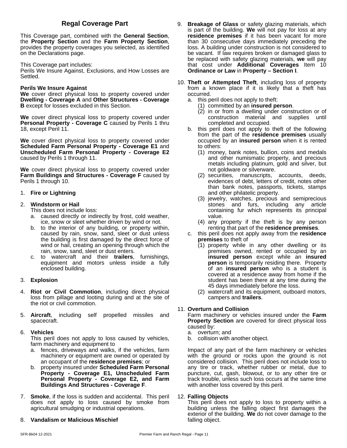### **Regal Coverage Part**

This Coverage part, combined with the **General Section**, the **Property Section** and the **Farm Property Section**, provides the property coverages you selected, as identified on the Declarations page.

This Coverage part includes:

Perils We Insure Against, Exclusions, and How Losses are Settled.

#### **Perils We Insure Against**

**We** cover direct physical loss to property covered under **Dwelling - Coverage A** and **Other Structures - Coverage B** except for losses excluded in this Section.

**We** cover direct physical loss to property covered under **Personal Property - Coverage C** caused by Perils 1 thru 18, except Peril 11.

**We** cover direct physical loss to property covered under **Scheduled Farm Personal Property - Coverage E1** and **Unscheduled Farm Personal Property - Coverage E2** caused by Perils 1 through 11.

**We** cover direct physical loss to property covered under **Farm Buildings and Structures - Coverage F** caused by Perils 1 through 10.

#### 1. **Fire or Lightning**

#### 2. **Windstorm or Hail**

- This does not include loss:
- a. caused directly or indirectly by frost, cold weather, ice, snow or sleet whether driven by wind or not.
- b. to the interior of any building, or property within, caused by rain, snow, sand, sleet or dust unless the building is first damaged by the direct force of wind or hail, creating an opening through which the rain, snow, sand, sleet or dust enters.
- c. to watercraft and their **trailers**, furnishings, equipment and motors unless inside a fully enclosed building.

#### 3. **Explosion**

- 4. **Riot or Civil Commotion**, including direct physical loss from pillage and looting during and at the site of the riot or civil commotion.
- 5. **Aircraft**, including self propelled missiles and spacecraft.

#### 6. **Vehicles**

This peril does not apply to loss caused by vehicles, farm machinery and equipment to

- a. fences, driveways and walks, if the vehicles, farm machinery or equipment are owned or operated by an occupant of the **residence premises**; or
- b. property insured under **Scheduled Farm Personal Property - Coverage E1, Unscheduled Farm Personal Property - Coverage E2, and Farm Buildings And Structures - Coverage F**.
- 7. **Smoke**, if the loss is sudden and accidental. This peril does not apply to loss caused by smoke from agricultural smudging or industrial operations.

#### 8. **Vandalism or Malicious Mischief**

- 9. **Breakage of Glass** or safety glazing materials, which is part of the building. We will not pay for loss at any **residence premises** if it has been vacant for more than 30 consecutive days immediately preceding the loss. A building under construction is not considered to be vacant. If law requires broken or damaged glass to be replaced with safety glazing materials, **we** will pay that cost under **Additional Coverages** Item 10 **Ordinance or Law** in **Property – Section I**.
- 10. **Theft or Attempted Theft**, including loss of property from a known place if it is likely that a theft has occurred.
	- a. this peril does not apply to theft:
		- (1) committed by an **insured person**.
		- (2) in or from a dwelling under construction or of construction material and supplies until completed and occupied.
	- b. this peril does not apply to theft of the following from the part of the **residence premises** usually occupied by an **insured person** when it is rented to others:
		- (1) money, bank notes, bullion, coins and medals and other numismatic property, and precious metals including platinum, gold and silver, but not goldware or silverware.
		- (2) securities, manuscripts, accounts, deeds, evidences of debt, letters of credit, notes other than bank notes, passports, tickets, stamps and other philatelic property.
		- (3) jewelry, watches, precious and semiprecious stones and furs, including any article containing fur which represents its principal value.
		- (4) any property if the theft is by any person renting that part of the **residence premises**.
	- c. this peril does not apply away from the **residence premises** to theft of
		- (1) property while in any other dwelling or its premises owned, rented or occupied by an **insured person** except while an **insured person** is temporarily residing there. Property of an **insured person** who is a student is covered at a residence away from home if the student has been there at any time during the 45 days immediately before the loss.
		- (2) watercraft and its equipment, outboard motors, campers and **trailers**.

#### 11. **Overturn and Collision**

Farm machinery or vehicles insured under the **Farm Property Section** are covered for direct physical loss caused by:

- a. overturn; and
- b. collision with another object.

Impact of any part of the farm machinery or vehicles with the ground or rocks upon the ground is not considered collision. This peril does not include loss to any tire or track, whether rubber or metal, due to puncture, cut, gash, blowout, or to any other tire or track trouble, unless such loss occurs at the same time with another loss covered by this peril.

#### 12. **Falling Objects**

This peril does not apply to loss to property within a building unless the falling object first damages the exterior of the building. **We** do not cover damage to the falling object.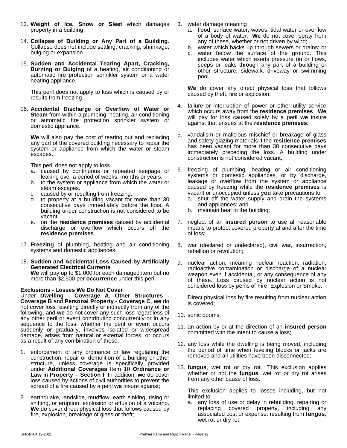- 13. **Weight of Ice, Snow or Sleet** which damages property in a building.
- 14. **Collapse of Building or Any Part of a Building**. Collapse does not include settling, cracking, shrinkage, bulging or expansion.
- 15. **Sudden and Accidental Tearing Apart, Cracking, Burning or Bulging** of a heating, air conditioning or automatic fire protection sprinkler system or a water heating appliance.

This peril does not apply to loss which is caused by or results from freezing.

16. **Accidental Discharge or Overflow of Water or Steam** from within a plumbing, heating, air conditioning or automatic fire protection sprinkler system or domestic appliance.

**We** will also pay the cost of tearing out and replacing any part of the covered building necessary to repair the system or appliance from which the water or steam escapes.

This peril does not apply to loss

- a. caused by continuous or repeated seepage or leaking over a period of weeks, months or years.
- b. to the system or appliance from which the water or steam escapes.
- c. caused by or resulting from freezing.
- d. to property at a building vacant for more than 30 consecutive days immediately before the loss. A building under construction is not considered to be vacant.
- e. on the **residence premises** caused by accidental discharge or overflow which occurs off the **residence premises**.
- 17. **Freezing** of plumbing, heating and air conditioning systems and domestic appliances.
- 18. **Sudden and Accidental Loss Caused by Artificially Generated Electrical Currents We** will pay up to \$1,000 for each damaged item but no more than \$2,500 per **occurrence** under this peril.

#### **Exclusions - Losses We Do Not Cover**

Under **Dwelling - Coverage A**, **Other Structures - Coverage B** and **Personal Property - Coverage C**, **we** do not cover loss resulting directly or indirectly from any of the following, and **we** do not cover any such loss regardless of any other peril or event contributing concurrently or in any sequence to the loss, whether the peril or event occurs suddenly or gradually, involves isolated or widespread damage, arises from natural or external forces, or occurs as a result of any combination of these:

- 1. enforcement of any ordinance or law regulating the construction, repair or demolition of a building or other structure, unless coverage is specifically provided under **Additional Coverages** Item 10 **Ordinance or Law** in **Property – Section I**. In addition, **we** do cover loss caused by actions of civil authorities to prevent the spread of a fire caused by a peril **we** insure against;
- 2. earthquake, landslide, mudflow, earth sinking, rising or shifting, or eruption, explosion or effusion of a volcano. **We** do cover direct physical loss that follows caused by fire, explosion, breakage of glass or theft;
- 3. water damage meaning
	- a. flood, surface water, waves, tidal water or overflow of a body of water. **We** do not cover spray from any of these, whether or not driven by wind;
	- b. water which backs up through sewers or drains; or
	- c. water below the surface of the ground. This includes water which exerts pressure on or flows, seeps or leaks through any part of a building or other structure, sidewalk, driveway or swimming pool.

**We** do cover any direct physical loss that follows caused by theft, fire or explosion;

- 4. failure or interruption of power or other utility service which occurs away from the **residence premises**. **We** will pay for loss caused solely by a peril**we** insure against that ensues at the **residence premises**;
- 5. vandalism or malicious mischief or breakage of glass and safety glazing materials if the **residence premises** has been vacant for more than 30 consecutive days immediately preceding the loss. A building under construction is not considered vacant;
- 6. freezing of plumbing, heating or air conditioning systems or domestic appliances, or by discharge, leakage or overflow from the system or appliance caused by freezing while the **residence premises** is vacant or unoccupied unless **you** take precautions to
	- a. shut off the water supply and drain the systems and appliances; and
	- b. maintain heat in the building;
- 7. neglect of an **insured person** to use allreasonable means to protect covered property at and after the time of loss;
- 8. war (declared or undeclared), civil war, insurrection, rebellion or revolution;
- 9. nuclear action, meaning nuclear reaction, radiation, radioactive contamination or discharge of a nuclear weapon even if accidental, or any consequence of any of these. Loss caused by nuclear action is not considered loss by perils of Fire, Explosion or Smoke.

Direct physical loss by fire resulting from nuclear action is covered;

- 10. sonic booms;
- 11. an action by or at the direction of an **insured person** committed with the intent to cause a loss;
- 12. any loss while the dwelling is being moved, including the period of time when leveling blocks or jacks are removed and all utilities have been disconnected;
- 13. **fungus**, wet rot or dry rot. This exclusion applies whether or not the **fungus**, wet rot or dry rot arises from any other cause of loss.

This exclusion applies to losses including, but not limited to:

a. any loss of use or delay in rebuilding, repairing or replacing covered property, including any associated cost or expense, resulting from **fungus**, wet rot or dry rot;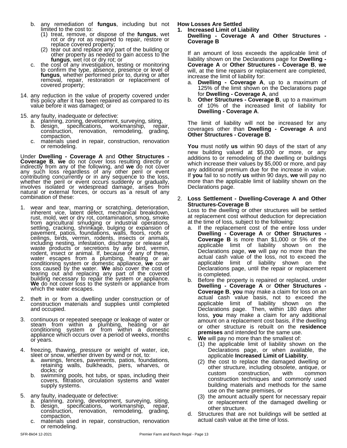- b. any remediation of **fungus**, including but not limited to the cost to:
	- (1) treat, remove, or dispose of the **fungus**, wet rot or dry rot as required to repair, restore or
	- replace covered property;<br>(2) tear out and replace any part of the building or other property as needed to gain access to the light and am fungus, wet rot or dry rot; or
- the cost of any investigation, testing or monitoring to confirm the type, absence, presence or level of fungus, whether performed prior to, during or after inc removal, repair, restoration or replacement of covered property;
- 14. any reduction in the value of property covered under this policy after it has been repaired as compared to its value before it was damaged; or
- 15. any faulty, inadequate or defective:
	-
	- a. planning, zoning, development, surveying, siting, b. design, specifications, workmanship, repair, construction, renovation, remodeling, grading, compaction,
	- c. materials used in repair, construction, renovation or remodeling.

Under **Dwelling - Coverage A** and **Other Structures - Coverage B**, **we** do not cover loss resulting directly or indirectly from any of the following, and **we** do not cover any such loss regardless of any other peril or event contributing concurrently or in any sequence to the loss, lily whether the peril or event occurs suddenly or gradually, metally involves isolated or widespread damage, arises from natural or external forces, or occurs as a result of any combination of these:

- 1. wear and tear, marring or scratching, deterioration, inherent vice, latent defect, mechanical breakdown, rust, mold, wet or dry rot, contamination, smog, smoke from agricultural smudging or industrial operations, at the<br>settling, cracking, shrinkage, bulging or expansion of a. If pavement, patios, foundations, walls, floors, roofs or ceilings, birds, vermin, rodents, insects or animals, including nesting, infestation, discharge or release of waste products or secretions by any bird, vermin, rodent, insect or animal. If, because of any of these, water escapes from a plumbing, heating or air conditioning system or domestic appliance, **we** cover loss caused by the water. We also cover the cost of tearing out and replacing any part of the covered is co building necessary to repair the system or appliance. **We** do not cover loss to the system or appliance from which the water escapes.
- 2. theft in or from a dwelling under construction or of construction materials and supplies until completed and occupied.
- 3. continuous or repeated seepage or leakage of water or steam from within a plumbing, heating or air conditioning system or from within a domestic appliance which occurs over a period of weeks, months or years.
- 4. freezing, thawing, pressure or weight of water, ice, sleet or snow, whether driven by wind or not, to:
	- a. awnings, fences, pavements, patios, foundations, retaining walls, bulkheads, piers, wharves, or docks; or
	- b. swimming pools, hot tubs, or spas, including their covers, filtration, circulation systems and water supply systems.
- 5. any faulty, inadequate or defective:
	- a. planning, zoning, development, surveying, siting, b. design, specifications, workmanship, repair, construction, renovation, remodeling, grading, compaction,
	- c. materials used in repair, construction, renovation or remodeling.

#### **How Losses Are Settled**

#### **1. Increased Limit of Liability Dwelling - Coverage A and Other Structures - Coverage B**

If an amount of loss exceeds the applicable limit of liability shown on the Declarations page for **Dwelling - Coverage A** or **Other Structures - Coverage B**, **we** will, at the time repairs or replacement are completed, increase the limit of liability for:

- a. **Dwelling - Coverage A**, up to a maximum of 125% of the limit shown on the Declarations page for **Dwelling - Coverage A**, and
- b. **Other Structures - Coverage B**, up to a maximum of 10% of the increased limit of liability for **Dwelling - Coverage A**.

The limit of liability will not be increased for any coverages other than **Dwelling - Coverage A** and **Other Structures - Coverage B**.

**You** must notify **us** within 90 days of the start of any new building valued at \$5,000 or more, or any additions to or remodeling of the dwelling or buildings which increase their values by \$5,000 or more, and pay any additional premium due for the increase in value. If **you** fail to so notify **us** within 90 days, **we** will pay no more than the applicable limit of liability shown on the Declarations page.

#### 2. **Loss Settlement - Dwelling-Coverage A and Other Structures-Coverage B**

Loss to the dwelling or other structures will be settled at replacement cost without deduction for depreciation at the time of loss, subject to the following:

- a. If the replacement cost of the entire loss under **Dwelling - Coverage A** or **Other Structures - Coverage B** is more than \$1,000 or 5% of the applicable limit of liability shown on the Declarations page, **we** will pay no more than the actual cash value of the loss, not to exceed the applicable limit of liability shown on the Declarations page, until the repair or replacement is completed.
- b. Before the property is repaired or replaced, under **Dwelling - Coverage A** or **Other Structures - Coverage B**, **you** may make a claim for loss on an actual cash value basis, not to exceed the applicable limit of liability shown on the Declarations page. Then, within 180 days after loss, **you** may make a claim for any additional amount on a replacement cost basis, if the dwelling or other structure is rebuilt on the **residence premises** and intended for the same use.
- c. **We** will pay no more than the smallest of:
	- (1) the applicable limit of liability shown on the Declarations page, or when available, the applicable **Increased Limit of Liability**,
	- (2) the cost to replace the damaged dwelling or other structure, including obsolete, antique, or custom construction, with common construction techniques and commonly used building materials and methods for the same use on the same premises, or
	- (3) the amount actually spent for necessary repair or replacement of the damaged dwelling or other structure.
- d. Structures that are not buildings will be settled at actual cash value at the time of loss.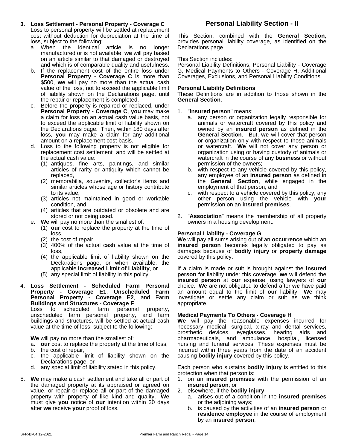- **3. Loss Settlement - Personal Property - Coverage C** Loss to personal property will be settled at replacement cost without deduction for depreciation at the time of loss, subject to the following:
	- a. When the identical article is no longer manufactured or is not available, **we** will pay based on an article similar to that damaged or destroyed and which is of comparable quality and usefulness.
	- b. If the replacement cost of the entire loss under **Personal Property - Coverage C** is more than \$500, **we** will pay no more than the actual cash value of the loss, not to exceed the applicable limit of liability shown on the Declarations page, until the repair or replacement is completed.
	- c. Before the property is repaired or replaced, under **Personal Property - Coverage C**, **you** may make a claim for loss on an actual cash value basis, not to exceed the applicable limit of liability shown on the Declarations page. Then, within 180 days after loss, **you** may make a claim for any additional amount on a replacement cost basis.
	- d. Loss to the following property is not eligible for replacement cost settlement and will be settled at the actual cash value:
		- (1) antiques, fine arts, paintings, and similar articles of rarity or antiquity which cannot be replaced,
		- (2) memorabilia, souvenirs, collector's items and similar articles whose age or history contribute to its value,
		- (3) articles not maintained in good or workable condition, and
		- (4) articles that are outdated or obsolete and are stored or not being used.
	- e. **We** will pay no more than the smallest of:
		- (1) **our** cost to replace the property at the time of loss,
		- (2) the cost of repair,
		- (3) 400% of the actual cash value at the time of loss,
		- (4) the applicable limit of liability shown on the Declarations page, or when available, the applicable **Increased Limit of Liability**, or
		- (5) any special limit of liability in this policy.
- 4. **Loss Settlement - Scheduled Farm Personal Property - Coverage E1**, **Unscheduled Farm Personal Property - Coverage E2**, and F**arm Buildings and Structures - Coverage F**

Loss to scheduled farm personal property, unscheduled farm personal property, and farm buildings and structures, will be settled at actual cash value at the time of loss, subject to the following:

**We** will pay no more than the smallest of:

- a. **our** cost to replace the property at the time of loss,
- b. the cost of repair,
- c. the applicable limit of liability shown on the Declarations page, or
- d. any special limit of liability stated in this policy.
- 5. **We** may make a cash settlement and take all or part of the damaged property at its appraised or agreed on value, or repair or replace all or part of the damaged property with property of like kind and quality. **We** must give **you** notice of **our** intention within 30 days after **we** receive **your** proof of loss.

#### **Personal Liability Section - II**

This Section, combined with the **General Section**, provides personal liability coverage, as identified on the Declarations page.

#### This Section includes:

Personal Liability Definitions, Personal Liability - Coverage G, Medical Payments to Others - Coverage H, Additional Coverages, Exclusions, and Personal Liability Conditions.

#### **Personal Liability Definitions**

These Definitions are in addition to those shown in the **General Section**.

#### 1. "**Insured person**" means:

- a. any person or organization legally responsible for animals or watercraft covered by this policy and owned by an **insured person** as defined in the **General Section**. But, **we** will cover that person or organization only with respect to those animals or watercraft. **We** will not cover any person or organization using or having custody of animals or watercraft in the course of any **business** or without permission of the owners;
- b. with respect to any vehicle covered by this policy, any employee of an **insured person** as defined in the **General Section**, while engaged in the employment of that person; and
- c. with respect to a vehicle covered by this policy, any other person using the vehicle with **your** permission on an **insured premises**.
- 2. "**Association**" means the membership of all property owners in a housing development.

#### **Personal Liability - Coverage G**

**We** will pay all sums arising out of an **occurrence** which an **insured person** becomes legally obligated to pay as damages because of **bodily injury** or **property damage** covered by this policy.

If a claim is made or suit is brought against the **insured person** for liability under this coverage, **we** will defend the **insured person** at **our** expense, using lawyers of **our** choice. We are not obligated to defend after we have paid an amount equal to the limit of **our** liability. **We** may investigate or settle any claim or suit as **we** think appropriate.

#### **Medical Payments To Others - Coverage H**

**We** will pay the reasonable expenses incurred for necessary medical, surgical, x-ray and dental services, prosthetic devices, eyeglasses, hearing aids and pharmaceuticals, and ambulance, hospital, licensed nursing and funeral services. These expenses must be incurred within three years from the date of an accident causing **bodily injury** covered by this policy.

Each person who sustains **bodily injury** is entitled to this protection when that person is:

- 1. on an **insured premises** with the permission of an **insured person**; or
- 2. elsewhere, if the **bodily injury**:
	- a. arises out of a condition in the **insured premises** or the adjoining ways;
	- b. is caused by the activities of an **insured person** or **residence employee** in the course of employment by an **insured person**;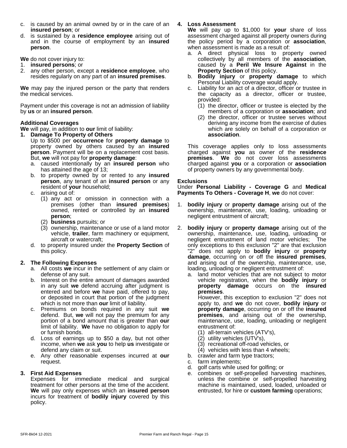- c. is caused by an animal owned by or in the care of an **insured person**; or
- d. is sustained by a **residence employee** arising out of and in the course of employment by an **insured person**.

**We** do not cover injury to:

- 1. **insured persons**; or
- 2. any other person, except a **residence employee**, who resides regularly on any part of an **insured premises**.

**We** may pay the injured person or the party that renders the medical services.

Payment under this coverage is not an admission of liability by **us** or an **insured person**.

#### **Additional Coverages**

**We** will pay, in addition to **our** limit of liability:

- **1. Damage To Property of Others** Up to \$500 per **occurrence** for **property damage** to property owned by others caused by an **insured person**. Payment will be on a replacement cost basis. The But, **we** will not pay for **property damage**:
	- a. caused intentionally by an **insured person** who has attained the age of 13;
	- b. to property owned by or rented to any **insured person**, any tenant of an **insured person** or any resident of **your** household;
	- c. arising out of:
		- (1) any act or omission in connection with a premises (other than **insured premises**) owned, rented or controlled by an **insured person**;
		- (2) **business** pursuits; or
		- (3) ownership, maintenance or use of a land motor vehicle, **trailer**, farm machinery or equipment, aircraft or watercraft;
	- d. to property insured underthe **Property Section** of this policy.

#### **2. The Following Expenses**

- a. All costs **we** incur in the settlement of any claim or defense of any suit.
- b. Interest on the entire amount of damages awarded in any suit **we** defend accruing after judgment is entered and before **we** have paid, offered to pay, or deposited in court that portion of the judgment which is not more than **our** limit of liability.
- c. Premiums on bonds required in any suit **we** defend. But, we will not pay the premium for any portion of a bond amount that is greater than **our** limit of liability. **We** have no obligation to apply for or furnish bonds.
- d. Loss of earnings up to \$50 a day, but not other income, when **we** ask **you** to help **us** investigate or defend any claim or suit.
- e. Any other reasonable expenses incurred at **our** request.

#### **3. First Aid Expenses**

Expenses for immediate medical and surgical treatment for other persons at the time of the accident. **We** will pay only expenses which an **insured person** incurs for treatment of **bodily injury** covered by this policy.

#### **4. Loss Assessment**

**We** will pay up to \$1,000 for **your** share of loss assessment charged againstall property owners during the policy period by a corporation or **association**, when assessment is made as a result of:

- a. A direct physical loss to property owned collectively by all members of the **association**, caused by a **Peril We Insure Against** in the **Property Section** of this policy.
- b. **Bodily injury** or **property damage** to which Personal Liability coverage would apply.
- c. Liability for an act of a director, officer or trustee in the capacity as a director, officer or trustee, provided:
	- (1) the director, officer or trustee is elected by the members of a corporation or **association**; and
	- (2) the director, officer or trustee serves without deriving any income from the exercise of duties which are solely on behalf of a corporation or **association**.

This coverage applies only to loss assessments charged against **you** as owner of the **residence premises**. **We** do not cover loss assessments charged against **you** or a corporation or **association** of property owners by any governmental body.

#### **Exclusions**

Under **Personal Liability - Coverage G** and **Medical Payments To Others - Coverage H**, **we** do not cover:

- 1. **bodily injury** or **property damage** arising out of the ownership, maintenance, use, loading, unloading or negligent entrustment of aircraft;
- 2. **bodily injury** or **property damage** arising out of the ownership, maintenance, use, loading, unloading or negligent entrustment of land motor vehicles; The only exceptions to this exclusion "2" are that exclusion "2" does not apply to **bodily injury** or **property damage**, occurring on or off the **insured premises**, and arising out of the ownership, maintenance, use, loading, unloading or negligent entrustment of:
	- a. land motor vehicles that are not subject to motor vehicle registration, when the **bodily injury** or **property damage** occurs on the **insured premises**.

However, this exception to exclusion "2" does not apply to, and **we** do notcover, **bodily injury** or **property damage**, occurring on or off the **insured premises**, and arising out of the ownership, maintenance, use, loading, unloading or negligent entrustment of:

- (1) all-terrain vehicles (ATV's),
- (2) utility vehicles (UTV's),
- (3) recreational off-road vehicles, or
- $(4)$  vehicles with less than 4 wheels;
- b. crawler and farm type tractors;
- c. farm implements;<br>d. golf carts while us
- golf carts while used for golfing; or
- e. combines or self-propelled harvesting machines, unless the combine or self-propelled harvesting machine is maintained, used, loaded, unloaded or entrusted, for hire or **custom farming** operations;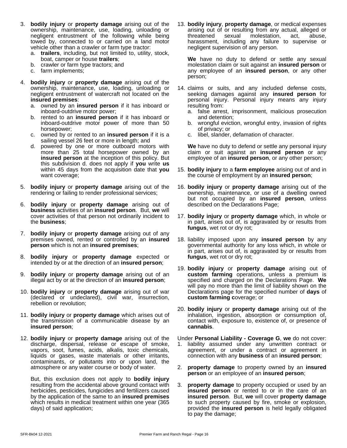- 3. **bodily injury** or **property damage** arising out of the ownership, maintenance, use, loading, unloading or negligent entrustment of the following while being towed by, connected to or carried on a land motor vehicle other than a crawler or farm type tractor:
	- a. **trailers**, including, but not limited to, utility, stock, boat, camper or house **trailers**;
	- b. crawler or farm type tractors; and
	- c. farm implements;
- 4. **bodily injury** or **property damage** arising out of the ownership, maintenance, use, loading, unloading or negligent entrustment of watercraft not located on the **insured premises**:
	- a. owned by an **insured person** if it has inboard or inboard-outdrive motor power;
	- b. rented to an **insured person** if it has inboard or inboard-outdrive motor power of more than 50 horsepower;
	- c. owned by or rented to an **insured person** if it is a sailing vessel 26 feet or more in length; and
	- d. powered by one or more outboard motors with We have more than 25 total horsepower owned by an **insured person** at the inception of this policy. But this subdivision d. does not apply if **you** write **us** within 45 days from the acquisition date that **you** want coverage;
- 5. **bodily injury** or **property damage** arising out of the rendering or failing to render professional services;
- 6. **bodily injury** or **property damage** arising out of **business** activities of an **insured person**. But, **we** will cover activities of that person not ordinarily incident to the **business**;
- 7. **bodily injury** or **property damage** arising out of any premises owned, rented or controlled by an **insured person** which is not an **insured premises**;
- 8. **bodily injury** or **property damage** expected or intended by or at the direction of an **insured person**;
- 9. **bodily injury** or **property damage** arising out of an illegal act by or at the direction of an **insured person**;
- 10. **bodily injury** or **property damage** arising out of war (declared or undeclared), civil war, insurrection, rebellion or revolution;
- 11. **bodily injury** or **property damage** which arises out of the transmission of a communicable disease by an **insured person**;
- 12. **bodily injury** or **property damage** arising out of the discharge, dispersal, release or escape of smoke, vapors, soot, fumes, acids, alkalis, toxic chemicals, liquids or gases, waste materials or other irritants, contaminants, or pollutants into or upon land, the atmosphere or any water course or body of water.

But, this exclusion does not apply to **bodily injury** resulting from the accidental above ground contact with herbicides, pesticides, fungicides and fertilizers caused by the application of the same to an **insured premises** which results in medical treatment within one year (365 days) of said application;

13. **bodily injury**, **property damage**, or medical expenses arising out of or resulting from any actual, alleged or threatened sexual molestation, act, abuse, harassment, including any failure to supervise or negligent supervision of any person.

**We** have no duty to defend or settle any sexual molestation claim or suit against an **insured person** or any employee of an **insured person**, or any other person;

- 14. claims or suits, and any included defense costs, seeking damages against any **insured person** for personal injury. Personal injury means any injury resulting from:
	- a. false arrest, imprisonment, malicious prosecution and detention;
	- b. wrongful eviction, wrongful entry, invasion of rights of privacy; or
	- c. libel, slander, defamation of character.

**We** have no duty to defend or settle any personal injury claim or suit against an **insured person** or any employee of an **insured person**, or any other person;

- 15. **bodily injury** to a **farm employee** arising out of and in the course of employment by an **insured person**;
- 16. **bodily injury** or **property damage** arising out of the ownership, maintenance, or use of a dwelling owned but not occupied by an **insured person**, unless described on the Declarations Page;
- 17. **bodily injury** or **property damage** which, in whole or in part, arises out of, is aggravated by or results from **fungus**, wet rot or dry rot;
- 18. liability imposed upon any **insured person** by any governmental authority for any loss which, in whole or in part, arises out of, is aggravated by or results from **fungus**, wet rot or dry rot;
- 19. **bodily injury** or **property damage** arising out of **custom farming** operations, unless a premium is specified and charged on the Declarations Page. **We** will pay no more than the limit of liability shown on the Declarations page for the specified number of **days** of **custom farming c**overage; or
- 20. **bodily injury** or **property damage** arising out of the inhalation, ingestion, absorption or consumption of, contact with, exposure to, existence of, or presence of **cannabis**.

Under **Personal Liability - Coverage G**, **we** do not cover: 1. liability assumed under any unwritten contract or agreement, or under a contract or agreement in connection with any **business** of an **insured person**;

- 2. **property damage** to property owned by an **insured person** or an employee of an **insured person**;
- 3. **property damage** to property occupied or used by an **insured person** or rented to or in the care of an **insured person**. But, **we** will cover **property damage** to such property caused by fire, smoke or explosion, provided the **insured person** is held legally obligated to pay the damage;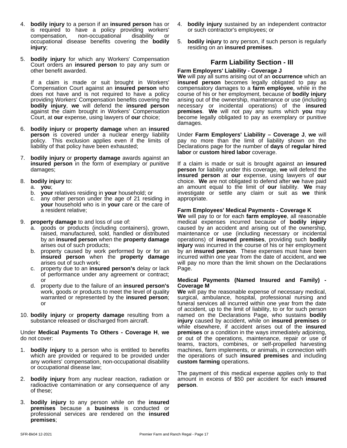- 4. **bodily injury** to a person if an **insured person** has or is required to have a policy providing workers' compensation, non-occupational disability or occupational disease benefits covering the **bodily injury**;
- 5. **bodily injury** for which any Workers' Compensation Court orders an **insured person** to pay any sum or other benefit awarded.

If a claim is made or suit brought in Workers' Compensation Court against an **insured person** who does not have and is not required to have a policy providing Workers' Compensation benefits covering the **bodily injury**, **we** will defend the **insured person** against the claim brought in Workers' Compensation Court, at **our** expense, using lawyers of **our** choice;

- 6. **bodily injury** or **property damage** when an **insured person** is covered under a nuclear energy liability policy. This exclusion applies even if the limits of liability of that policy have been exhausted;
- 7. **bodily injury** or **property damage** awards against an **insured person** in the form of exemplary or punitive damages;
- 8. **bodily injury** to:
	- a. **you**;
	- b. **your** relatives residing in **your** household; or
	- c. any other person under the age of 21 residing in **your** household who is in **your** care or the care of a resident relative;
- 9. **property damage** to and loss of use of:
	- a. goods or products (including containers), grown, raised, manufactured, sold, handled or distributed by an **insured person** when the **property damage** arises out of such products;
	- b. property caused by work performed by or for an **insured person** when the **property damage** arises out of such work:
	- c. property due to an **insured person's** delay or lack of performance under any agreement or contract; or
	- d. property due to the failure of an **insured person's** work, goods or products to meet the level of quality warranted or represented by the **insured person**; or
- 10. **bodily injury** or **property damage** resulting from a substance released or discharged from aircraft.

#### Under **Medical Payments To Others - Coverage H**, **we** do not cover:

- 1. **bodily injury** to a person who is entitled to benefits which are provided or required to be provided under any workers' compensation, non-occupational disability or occupational disease law;
- 2. **bodily injury** from any nuclear reaction, radiation or radioactive contamination or any consequence of any of these;
- 3. **bodily injury** to any person while on the **insured premises** because a **business** is conducted or professional services are rendered on the **insured premises**;
- 4. **bodily injury** sustained by an independent contractor or such contractor's employees; or
- 5. **bodily injury** to any person, if such person is regularly residing on an **insured premises**.

### **Farm Liability Section - III**

#### **Farm Employers' Liability - Coverage J**

**We** will pay all sums arising out of an **occurrence** which an **insured person** becomes legally obligated to pay as compensatory damages to a **farm employee**, while in the course of his or her employment, because of **bodily injury** arising out of the ownership, maintenance or use (including necessary or incidental operations) of the **insured premises**. **We** will not pay any sums which **you** may become legally obligated to pay as exemplary or punitive damages.

Under **Farm Employers' Liability – Coverage J**, **we** will pay no more than the limit of liability shown on the Declarations page for the number of **days** of **regular hired labor** or **custom hired labor** coverage.

If a claim is made or suit is brought against an **insured person** for liability under this coverage, **we** will defend the **insured person** at **our** expense, using lawyers of **our** choice. We are not obligated to defend after we have paid an amount equal to the limit of **our** liability. **We** may investigate or settle any claim or suit as **we** think appropriate.

#### **Farm Employees' Medical Payments - Coverage K**

**We** will pay to or foreach **farm employee**, all reasonable medical expenses incurred because of **bodily injury** caused by an accident and arising out of the ownership, maintenance or use (including necessary or incidental operations) of **insured premises**, providing such **bodily injury** was incurred in the course of his or her employment by an **insured person**. These expenses must have been incurred within one year from the date of accident, and **we** will pay no more than the limit shown on the Declarations Page.

#### **Medical Payments (Named Insured and Family) - Coverage M**

**We** will pay the reasonable expense of necessary medical, surgical, ambulance, hospital, professional nursing and funeral services all incurred within one year from the date of accident, up to the limit of liability, to or for such person named on the Declarations Page, who sustains **bodily injury** caused by accident, while on **insured premises** or while elsewhere, if accident arises out of the **insured premises** or a condition in the ways immediately adjoining, or out of the operations, maintenance, repair or use of teams, tractors, combines, or self-propelled harvesting machines, farm implements, or animals, in connection with the operations of such **insured premises** and including **custom farming** operations.

The payment of this medical expense applies only to that amount in excess of \$50 per accident for each **insured person**.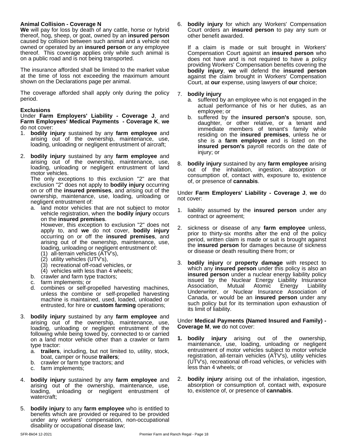#### **Animal Collision - Coverage N**

**We** will pay for loss by death of any cattle, horse or hybrid thereof, hog, sheep, or goat, owned by an **insured person** caused by collision between such animal and a vehicle not owned or operated by an **insured person** or any employee thereof. This coverage applies only while such animal is on a public road and is not being transported.

The insurance afforded shall be limited to the market value at the time of loss not exceeding the maximum amount shown on the Declarations page per animal.

The coverage afforded shall apply only during the policy period.

#### **Exclusions**

Under **Farm Employers' Liability - Coverage J**, and **Farm Employees' Medical Payments - Coverage K**, **we** do not cover:

- 1. **bodily injury** sustained by any **farm employee** and arising out of the ownership, maintenance, use, loading, unloading or negligent entrustment of aircraft;
- 2. **bodily injury** sustained by any **farm employee** and arising out of the ownership, maintenance, use, loading, unloading or negligent entrustment of land motor vehicles.

The only exceptions to this exclusion "2" are that  $\frac{60}{60}$ exclusion "2" does not apply to **bodily injury** occurring on or off the **insured premises**, and arising out of the ownership, maintenance, use, loading, unloading or negligent entrustment of:

a. land motor vehicles that are not subject to motor vehicle registration, when the **bodily injury** occurs on the **insured premises**.

However, this exception to exclusion "2" does not apply to, and **we** do not cover, **bodily injury** occurring on or off the **insured premises**, and arising out of the ownership, maintenance, use, loading, unloading or negligent entrustment of:

- (1) all-terrain vehicles (ATV's),
- (2) utility vehicles (UTV's),
- (3) recreational off-road vehicles, or
- (4) vehicles with less than 4 wheels;
- b. crawler and farm type tractors;
- c. farm implements; or
- d. combines or self-propelled harvesting machines, unless the combine or self-propelled harvesting machine is maintained, used, loaded, unloaded or entrusted, for hire or **custom farming** operations;
- 3. **bodily injury** sustained by any **farm employee** and arising out of the ownership, maintenance, use, loading, unloading or negligent entrustment of the following while being towed by, connected to or carried on a land motor vehicle other than a crawler or farm type tractor:
	- a. **trailers**, including, but not limited to, utility, stock, boat, camper or house **trailers**;
	- b. crawler or farm type tractors; and
	- c. farm implements;
- 4. **bodily injury** sustained by any **farm employee** and arising out of the ownership, maintenance, use, loading, unloading or negligent entrustment of watercraft;
- 5. **bodily injury** to any **farm employee** who is entitled to benefits which are provided or required to be provided under any workers' compensation, non-occupational disability or occupational disease law;

6. **bodily injury** for which any Workers' Compensation Court orders an **insured person** to pay any sum or other benefit awarded.

If a claim is made or suit brought in Workers' Compensation Court against an **insured person** who does not have and is not required to have a policy providing Workers' Compensation benefits covering the **bodily injury**, **we** will defend the **insured person** against the claim brought in Workers' Compensation Court, at **our** expense, using lawyers of **our** choice;

#### 7. **bodily injury**

- a. suffered by an employee who is not engaged in the actual performance of his or her duties, as an employee; or
- b. suffered by the **insured person's** spouse, son, daughter, or other relative, or a tenant and immediate members of tenant's family while residing on the **insured premises**, unless he or she is a **farm employee** and is listed on the **insured person's** payroll records on the date of injury; or
- 8. **bodily injury** sustained by any **farm employee** arising out of the inhalation, ingestion, absorption or consumption of, contact with, exposure to, existence of, or presence of **cannabis**.

Under **Farm Employers' Liability - Coverage J**, **we** do not cover:

- 1. liability assumed by the **insured person** under any contract or agreement;
- 2. sickness or disease of any **farm employee** unless, prior to thirty-six months after the end of the policy period, written claim is made or suit is brought against the **insured person** for damages because of sickness or disease or death resulting there from; or
- 3. **bodily injury** or **property damage** with respect to which any **insured person** under this policy is also an **insured person** under a nuclear energy liability policy issued by the Nuclear Energy Liability Insurance Association, Mutual Atomic Energy Liability Underwriter, or Nuclear Insurance Association of Canada, or would be an **insured person** under any such policy but for its termination upon exhaustion of its limit of liability.

Under **Medical Payments (Named Insured and Family) - Coverage M**, **we** do not cover:

- **1. bodily injury** arising out of the ownership, maintenance, use, loading, unloading or negligent entrustment of motor vehicles subject to motor vehicle registration, all-terrain vehicles (ATV's), utility vehicles (UTV's), recreational off-road vehicles, or vehicles with less than 4 wheels; or
- **bodily injury** arising out of the inhalation, ingestion, absorption or consumption of, contact with, exposure to, existence of, or presence of **cannabis**.